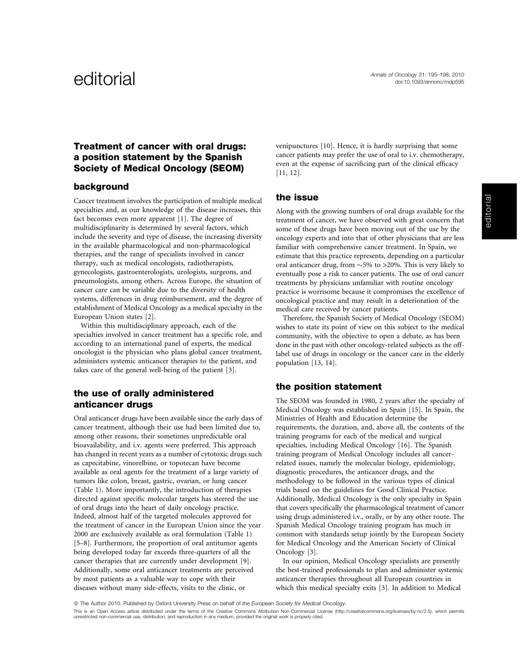# Treatment of cancer with oral drugs: a position statement by the Spanish Society of Medical Oncology (SEOM)

# background

Cancer treatment involves the participation of multiple medical specialties and, as our knowledge of the disease increases, this fact becomes even more apparent [1]. The degree of multidisciplinarity is determined by several factors, which include the severity and type of disease, the increasing diversity in the available pharmacological and non-pharmacological therapies, and the range of specialists involved in cancer therapy, such as medical oncologists, radiotherapists, gynecologists, gastroenterologists, urologists, surgeons, and pneumologists, among others. Across Europe, the situation of cancer care can be variable due to the diversity of health systems, differences in drug reimbursement, and the degree of establishment of Medical Oncology as a medical specialty in the European Union states [2].

Within this multidisciplinary approach, each of the specialties involved in cancer treatment has a specific role, and according to an international panel of experts, the medical oncologist is the physician who plans global cancer treatment, administers systemic anticancer therapies to the patient, and takes care of the general well-being of the patient [3].

# the use of orally administered anticancer drugs

Oral anticancer drugs have been available since the early days of cancer treatment, although their use had been limited due to, among other reasons, their sometimes unpredictable oral bioavailability, and i.v. agents were preferred. This approach has changed in recent years as a number of cytotoxic drugs such as capecitabine, vinorelbine, or topotecan have become available as oral agents for the treatment of a large variety of tumors like colon, breast, gastric, ovarian, or lung cancer (Table 1). More importantly, the introduction of therapies directed against specific molecular targets has steered the use of oral drugs into the heart of daily oncology practice. Indeed, almost half of the targeted molecules approved for the treatment of cancer in the European Union since the year 2000 are exclusively available as oral formulation (Table 1) [5–8]. Furthermore, the proportion of oral antitumor agents being developed today far exceeds three-quarters of all the cancer therapies that are currently under development [9]. Additionally, some oral anticancer treatments are perceived by most patients as a valuable way to cope with their diseases without many side-effects, visits to the clinic, or

venipunctures [10]. Hence, it is hardly surprising that some cancer patients may prefer the use of oral to i.v. chemotherapy, even at the expense of sacrificing part of the clinical efficacy [11, 12].

#### the issue

Along with the growing numbers of oral drugs available for the treatment of cancer, we have observed with great concern that some of these drugs have been moving out of the use by the oncology experts and into that of other physicians that are less familiar with comprehensive cancer treatment. In Spain, we estimate that this practice represents, depending on a particular oral anticancer drug, from  $\sim$  5% to  $>$ 20%. This is very likely to eventually pose a risk to cancer patients. The use of oral cancer treatments by physicians unfamiliar with routine oncology practice is worrisome because it compromises the excellence of oncological practice and may result in a deterioration of the medical care received by cancer patients.

Therefore, the Spanish Society of Medical Oncology (SEOM) wishes to state its point of view on this subject to the medical community, with the objective to open a debate, as has been done in the past with other oncology-related subjects as the offlabel use of drugs in oncology or the cancer care in the elderly population [13, 14].

# the position statement

The SEOM was founded in 1980, 2 years after the specialty of Medical Oncology was established in Spain [15]. In Spain, the Ministries of Health and Education determine the requirements, the duration, and, above all, the contents of the training programs for each of the medical and surgical specialties, including Medical Oncology [16]. The Spanish training program of Medical Oncology includes all cancerrelated issues, namely the molecular biology, epidemiology, diagnostic procedures, the anticancer drugs, and the methodology to be followed in the various types of clinical trials based on the guidelines for Good Clinical Practice. Additionally, Medical Oncology is the only specialty in Spain that covers specifically the pharmacological treatment of cancer using drugs administered i.v., orally, or by any other route. The Spanish Medical Oncology training program has much in common with standards setup jointly by the European Society for Medical Oncology and the American Society of Clinical Oncology [3].

In our opinion, Medical Oncology specialists are presently the best-trained professionals to plan and administer systemic anticancer therapies throughout all European countries in which this medical specialty exits [3]. In addition to Medical

*ª* The Author 2010. Published by Oxford University Press on behalf of the European Society for Medical Oncology.

This is an Open Access article distributed under the terms of the Creative Commons Attribution Non-Commercial License (http://creativecommons.org/licenses/by-nc/2.5), which permits unrestricted non-commercial use, distribution, and reproduction in any medium, provided the original work is properly cited.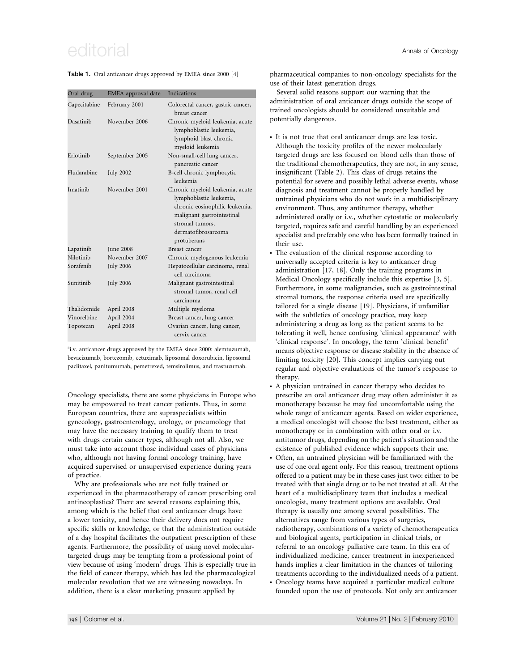# $e$ ditorial  $\overline{a}$

Table 1. Oral anticancer drugs approved by EMEA since 2000 [4]

| Oral drug    | EMEA approval date | <b>Indications</b>                                                                                                                                                                  |
|--------------|--------------------|-------------------------------------------------------------------------------------------------------------------------------------------------------------------------------------|
| Capecitabine | February 2001      | Colorectal cancer, gastric cancer,<br>breast cancer                                                                                                                                 |
| Dasatinih    | November 2006      | Chronic myeloid leukemia, acute<br>lymphoblastic leukemia,<br>lymphoid blast chronic<br>myeloid leukemia                                                                            |
| Erlotinib    | September 2005     | Non-small-cell lung cancer,<br>pancreatic cancer                                                                                                                                    |
| Fludarabine  | <b>July 2002</b>   | B-cell chronic lymphocytic<br>leukemia                                                                                                                                              |
| Imatinih     | November 2001      | Chronic myeloid leukemia, acute<br>lymphoblastic leukemia,<br>chronic eosinophilic leukemia,<br>malignant gastrointestinal<br>stromal tumors.<br>dermatofibrosarcoma<br>protuberans |
| Lapatinib    | <b>Iune 2008</b>   | Breast cancer                                                                                                                                                                       |
| Nilotinih    | November 2007      | Chronic myelogenous leukemia                                                                                                                                                        |
| Sorafenib    | <b>July 2006</b>   | Hepatocellular carcinoma, renal<br>cell carcinoma                                                                                                                                   |
| Sunitinib    | <b>July 2006</b>   | Malignant gastrointestinal<br>stromal tumor, renal cell<br>carcinoma                                                                                                                |
| Thalidomide  | April 2008         | Multiple myeloma                                                                                                                                                                    |
| Vinorelbine  | April 2004         | Breast cancer, lung cancer                                                                                                                                                          |
| Topotecan    | April 2008         | Ovarian cancer, lung cancer,<br>cervix cancer                                                                                                                                       |

<sup>a</sup>i.v. anticancer drugs approved by the EMEA since 2000: alemtuzumab, bevacizumab, bortezomib, cetuximab, liposomal doxorubicin, liposomal paclitaxel, panitumumab, pemetrexed, temsirolimus, and trastuzumab.

Oncology specialists, there are some physicians in Europe who may be empowered to treat cancer patients. Thus, in some European countries, there are supraspecialists within gynecology, gastroenterology, urology, or pneumology that may have the necessary training to qualify them to treat with drugs certain cancer types, although not all. Also, we must take into account those individual cases of physicians who, although not having formal oncology training, have acquired supervised or unsupervised experience during years of practice.

Why are professionals who are not fully trained or experienced in the pharmacotherapy of cancer prescribing oral antineoplastics? There are several reasons explaining this, among which is the belief that oral anticancer drugs have a lower toxicity, and hence their delivery does not require specific skills or knowledge, or that the administration outside of a day hospital facilitates the outpatient prescription of these agents. Furthermore, the possibility of using novel moleculartargeted drugs may be tempting from a professional point of view because of using 'modern' drugs. This is especially true in the field of cancer therapy, which has led the pharmacological molecular revolution that we are witnessing nowadays. In addition, there is a clear marketing pressure applied by

pharmaceutical companies to non-oncology specialists for the use of their latest generation drugs.

Several solid reasons support our warning that the administration of oral anticancer drugs outside the scope of trained oncologists should be considered unsuitable and potentially dangerous.

- It is not true that oral anticancer drugs are less toxic. Although the toxicity profiles of the newer molecularly targeted drugs are less focused on blood cells than those of the traditional chemotherapeutics, they are not, in any sense, insignificant (Table 2). This class of drugs retains the potential for severe and possibly lethal adverse events, whose diagnosis and treatment cannot be properly handled by untrained physicians who do not work in a multidisciplinary environment. Thus, any antitumor therapy, whether administered orally or i.v., whether cytostatic or molecularly targeted, requires safe and careful handling by an experienced specialist and preferably one who has been formally trained in their use.

- The evaluation of the clinical response according to universally accepted criteria is key to anticancer drug administration [17, 18]. Only the training programs in Medical Oncology specifically include this expertise [3, 5]. Furthermore, in some malignancies, such as gastrointestinal stromal tumors, the response criteria used are specifically tailored for a single disease [19]. Physicians, if unfamiliar with the subtleties of oncology practice, may keep administering a drug as long as the patient seems to be tolerating it well, hence confusing 'clinical appearance' with 'clinical response'. In oncology, the term 'clinical benefit' means objective response or disease stability in the absence of limiting toxicity [20]. This concept implies carrying out regular and objective evaluations of the tumor's response to therapy.
- - A physician untrained in cancer therapy who decides to prescribe an oral anticancer drug may often administer it as monotherapy because he may feel uncomfortable using the whole range of anticancer agents. Based on wider experience, a medical oncologist will choose the best treatment, either as monotherapy or in combination with other oral or i.v. antitumor drugs, depending on the patient's situation and the existence of published evidence which supports their use.
- - Often, an untrained physician will be familiarized with the use of one oral agent only. For this reason, treatment options offered to a patient may be in these cases just two: either to be treated with that single drug or to be not treated at all. At the heart of a multidisciplinary team that includes a medical oncologist, many treatment options are available. Oral therapy is usually one among several possibilities. The alternatives range from various types of surgeries, radiotherapy, combinations of a variety of chemotherapeutics and biological agents, participation in clinical trials, or referral to an oncology palliative care team. In this era of individualized medicine, cancer treatment in inexperienced hands implies a clear limitation in the chances of tailoring treatments according to the individualized needs of a patient.
- Oncology teams have acquired a particular medical culture founded upon the use of protocols. Not only are anticancer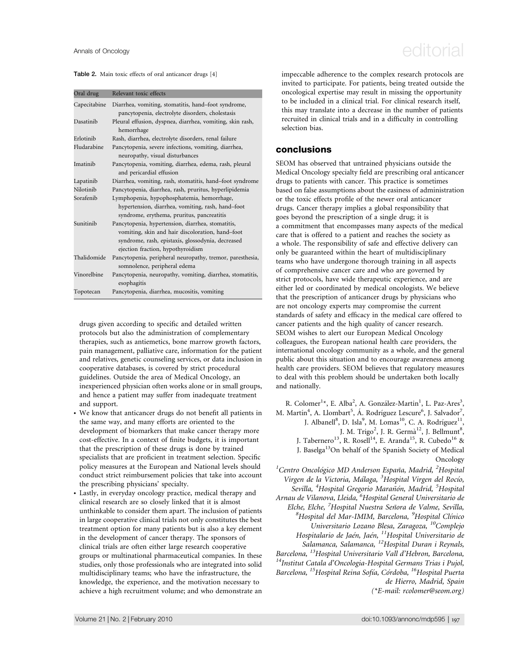# Annals of Oncology  $e$ ditorial

#### Table 2. Main toxic effects of oral anticancer drugs [4]

| Oral drug    | Relevant toxic effects                                                                                  |  |
|--------------|---------------------------------------------------------------------------------------------------------|--|
| Capecitabine | Diarrhea, vomiting, stomatitis, hand–foot syndrome,<br>pancytopenia, electrolyte disorders, cholestasis |  |
| Dasatinib    | Pleural effusion, dyspnea, diarrhea, vomiting, skin rash,<br>hemorrhage                                 |  |
| Erlotinib    | Rash, diarrhea, electrolyte disorders, renal failure                                                    |  |
| Fludarabine  | Pancytopenia, severe infections, vomiting, diarrhea,<br>neuropathy, visual disturbances                 |  |
| Imatinib     | Pancytopenia, vomiting, diarrhea, edema, rash, pleural<br>and pericardial effusion                      |  |
| Lapatinib    | Diarrhea, vomiting, rash, stomatitis, hand-foot syndrome                                                |  |
| Nilotinib    | Pancytopenia, diarrhea, rash, pruritus, hyperlipidemia                                                  |  |
| Sorafenib    | Lymphopenia, hypophosphatemia, hemorrhage,                                                              |  |
|              | hypertension, diarrhea, vomiting, rash, hand-foot                                                       |  |
|              | syndrome, erythema, pruritus, pancreatitis                                                              |  |
| Sunitinib    | Pancytopenia, hypertension, diarrhea, stomatitis,                                                       |  |
|              | vomiting, skin and hair discoloration, hand-foot                                                        |  |
|              | syndrome, rash, epistaxis, glossodynia, decreased                                                       |  |
|              | ejection fraction, hypothyroidism                                                                       |  |
| Thalidomide  | Pancytopenia, peripheral neuropathy, tremor, paresthesia,                                               |  |
|              | somnolence, peripheral edema                                                                            |  |
| Vinorelbine  | Pancytopenia, neuropathy, vomiting, diarrhea, stomatitis,<br>esophagitis                                |  |
| Topotecan    | Pancytopenia, diarrhea, mucositis, vomiting                                                             |  |

drugs given according to specific and detailed written protocols but also the administration of complementary therapies, such as antiemetics, bone marrow growth factors, pain management, palliative care, information for the patient and relatives, genetic counseling services, or data inclusion in cooperative databases, is covered by strict procedural guidelines. Outside the area of Medical Oncology, an inexperienced physician often works alone or in small groups, and hence a patient may suffer from inadequate treatment and support.

- We know that anticancer drugs do not benefit all patients in the same way, and many efforts are oriented to the development of biomarkers that make cancer therapy more cost-effective. In a context of finite budgets, it is important that the prescription of these drugs is done by trained specialists that are proficient in treatment selection. Specific policy measures at the European and National levels should conduct strict reimbursement policies that take into account the prescribing physicians' specialty.
- Lastly, in everyday oncology practice, medical therapy and clinical research are so closely linked that it is almost unthinkable to consider them apart. The inclusion of patients in large cooperative clinical trials not only constitutes the best treatment option for many patients but is also a key element in the development of cancer therapy. The sponsors of clinical trials are often either large research cooperative groups or multinational pharmaceutical companies. In these studies, only those professionals who are integrated into solid multidisciplinary teams; who have the infrastructure, the knowledge, the experience, and the motivation necessary to achieve a high recruitment volume; and who demonstrate an

impeccable adherence to the complex research protocols are invited to participate. For patients, being treated outside the oncological expertise may result in missing the opportunity to be included in a clinical trial. For clinical research itself, this may translate into a decrease in the number of patients recruited in clinical trials and in a difficulty in controlling selection bias.

# conclusions

SEOM has observed that untrained physicians outside the Medical Oncology specialty field are prescribing oral anticancer drugs to patients with cancer. This practice is sometimes based on false assumptions about the easiness of administration or the toxic effects profile of the newer oral anticancer drugs. Cancer therapy implies a global responsibility that goes beyond the prescription of a single drug; it is a commitment that encompasses many aspects of the medical care that is offered to a patient and reaches the society as a whole. The responsibility of safe and effective delivery can only be guaranteed within the heart of multidisciplinary teams who have undergone thorough training in all aspects of comprehensive cancer care and who are governed by strict protocols, have wide therapeutic experience, and are either led or coordinated by medical oncologists. We believe that the prescription of anticancer drugs by physicians who are not oncology experts may compromise the current standards of safety and efficacy in the medical care offered to cancer patients and the high quality of cancer research. SEOM wishes to alert our European Medical Oncology colleagues, the European national health care providers, the international oncology community as a whole, and the general public about this situation and to encourage awareness among health care providers. SEOM believes that regulatory measures to deal with this problem should be undertaken both locally and nationally.

R. Colomer<sup>1</sup>\*, E. Alba<sup>2</sup>, A. González-Martin<sup>1</sup>, L. Paz-Ares<sup>3</sup>, M. Martín<sup>4</sup>, A. Llombart<sup>5</sup>, Á. Rodríguez Lescure<sup>6</sup>, J. Salvador<sup>7</sup>, J. Albanell<sup>8</sup>, D. Isla<sup>9</sup>, M. Lomas<sup>10</sup>, C. A. Rodríguez<sup>11</sup>, J. M. Trigo<sup>2</sup>, J. R. Germà<sup>12</sup>, J. Bellmunt<sup>8</sup>, J. Tabernero<sup>13</sup>, R. Rosell<sup>14</sup>, E. Aranda<sup>15</sup>, R. Cubedo<sup>16</sup> & J. Baselga<sup>13</sup>On behalf of the Spanish Society of Medical Oncology

 ${}^{1}$ Centro Oncológico MD Anderson España, Madrid,  ${}^{2}$ Hospital Virgen de la Victoria, Málaga, <sup>3</sup>Hospital Virgen del Rocío, Sevilla, <sup>4</sup>Hospital Gregorio Marañón, Madrid, <sup>5</sup>Hospital Arnau de Vilanova, Lleida, <sup>6</sup>Hospital General Universitario de Elche, Elche, <sup>7</sup>Hospital Nuestra Señora de Valme, Sevilla,<br><sup>8</sup>Hospital del Max IMIM, Barcelona, <sup>9</sup>Hospital Clínico Hospital del Mar-IMIM, Barcelona, <sup>9</sup>Hospital Clínico Universitario Lozano Blesa, Zaragoza, 10Complejo Hospitalario de Jaén, Jaén, <sup>11</sup>Hospital Universitario de salamanca, Salamanca, <sup>12</sup>Hospital Duran i Reynals,<br>Barcelona, <sup>13</sup>Hospital Universitario Vall d'Hebron, Barcelona, <sup>14</sup>Institut Catala d'Oncologia-Hospital Germans Trias i Pujol, Barcelona, <sup>15</sup>Hospital Reina Sofía, Córdoba, <sup>16</sup>Hospital Puerta de Hierro, Madrid, Spain (\*E-mail: rcolomer@seom.org)